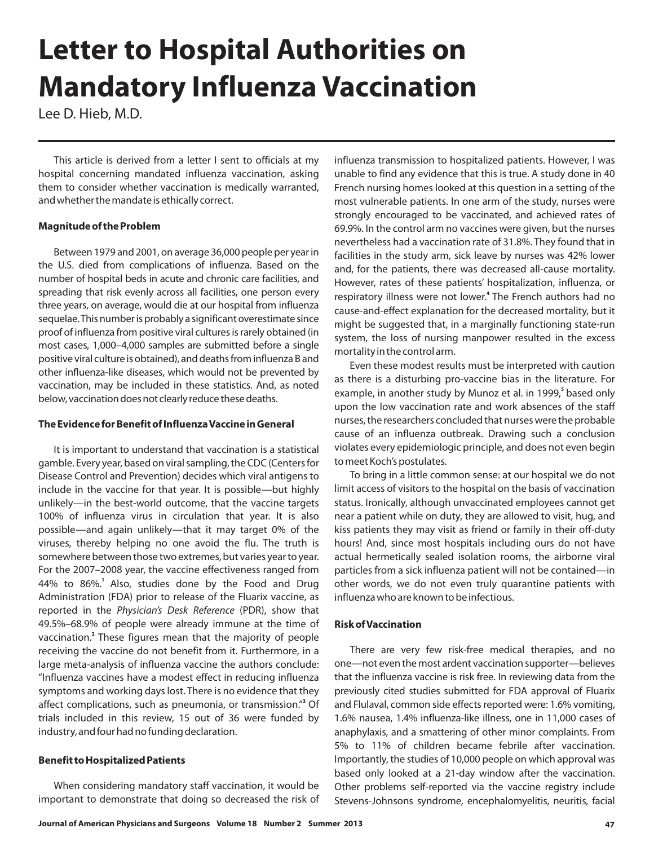# **Letter to Hospital Authorities on Mandatory Influenza Vaccination**

Lee D. Hieb, M.D.

This article is derived from a letter I sent to officials at my hospital concerning mandated influenza vaccination, asking them to consider whether vaccination is medically warranted, and whether the mandate is ethically correct.

## **Magnitude of the Problem**

Between 1979 and 2001, on average 36,000 people per year in the U.S. died from complications of influenza. Based on the number of hospital beds in acute and chronic care facilities, and spreading that risk evenly across all facilities, one person every three years, on average, would die at our hospital from influenza sequelae.This number is probably a significant overestimate since proof of influenza from positive viral cultures is rarely obtained (in most cases, 1,000–4,000 samples are submitted before a single positive viral culture is obtained), and deaths from influenza B and other influenza‐like diseases, which would not be prevented by vaccination, may be included in these statistics. And, as noted below, vaccination does not clearly reduce these deaths.

## **The Evidence for Benefit of InfluenzaVaccine in General**

It is important to understand that vaccination is a statistical gamble. Every year, based on viral sampling, the CDC (Centers for Disease Control and Prevention) decides which viral antigens to include in the vaccine for that year. It is possible—but highly unlikely—in the best‐world outcome, that the vaccine targets 100% of influenza virus in circulation that year. It is also possible—and again unlikely—that it may target 0% of the viruses, thereby helping no one avoid the flu. The truth is somewhere between those two extremes, but varies year to year. For the 2007–2008 year, the vaccine effectiveness ranged from 44% to 86%.<sup>1</sup> Also, studies done by the Food and Drug Administration (FDA) prior to release of the Fluarix vaccine, as reported in the Physician's Desk Reference (PDR), show that 49.5%–68.9% of people were already immune at the time of vaccination.<sup>2</sup> These figures mean that the majority of people receiving the vaccine do not benefit from it. Furthermore, in a large meta‐analysis of influenza vaccine the authors conclude: "Influenza vaccines have a modest effect in reducing influenza symptoms and working days lost. There is no evidence that they affect complications, such as pneumonia, or transmission." Of **3** trials included in this review, 15 out of 36 were funded by industry, and four had no funding declaration.

# **Benefit to Hospitalized Patients**

When considering mandatory staff vaccination, it would be important to demonstrate that doing so decreased the risk of influenza transmission to hospitalized patients. However, I was unable to find any evidence that this is true. A study done in 40 French nursing homes looked at this question in a setting of the most vulnerable patients. In one arm of the study, nurses were strongly encouraged to be vaccinated, and achieved rates of 69.9%. In the control arm no vaccines were given, but the nurses nevertheless had a vaccination rate of 31.8%. They found that in facilities in the study arm, sick leave by nurses was 42% lower and, for the patients, there was decreased all‐cause mortality. However, rates of these patients' hospitalization, influenza, or respiratory illness were not lower.<sup>4</sup> The French authors had no cause‐and‐effect explanation for the decreased mortality, but it might be suggested that, in a marginally functioning state‐run system, the loss of nursing manpower resulted in the excess mortality in the control arm.

Even these modest results must be interpreted with caution as there is a disturbing pro‐vaccine bias in the literature. For example, in another study by Munoz et al. in 1999,<sup>5</sup> based only upon the low vaccination rate and work absences of the staff nurses, the researchers concluded that nurses were the probable cause of an influenza outbreak. Drawing such a conclusion violates every epidemiologic principle, and does not even begin to meet Koch's postulates.

To bring in a little common sense: at our hospital we do not limit access of visitors to the hospital on the basis of vaccination status. Ironically, although unvaccinated employees cannot get near a patient while on duty, they are allowed to visit, hug, and kiss patients they may visit as friend or family in their off‐duty hours! And, since most hospitals including ours do not have actual hermetically sealed isolation rooms, the airborne viral particles from a sick influenza patient will not be contained—in other words, we do not even truly quarantine patients with influenza who are known to be infectious.

# **Risk ofVaccination**

There are very few risk-free medical therapies, and no one—not even the most ardent vaccination supporter—believes that the influenza vaccine is risk free. In reviewing data from the previously cited studies submitted for FDA approval of Fluarix and Flulaval, common side effects reported were: 1.6% vomiting, 1.6% nausea, 1.4% influenza‐like illness, one in 11,000 cases of anaphylaxis, and a smattering of other minor complaints. From 5% to 11% of children became febrile after vaccination. Importantly, the studies of 10,000 people on which approval was based only looked at a 21‐day window after the vaccination. Other problems self‐reported via the vaccine registry include Stevens‐Johnsons syndrome, encephalomyelitis, neuritis, facial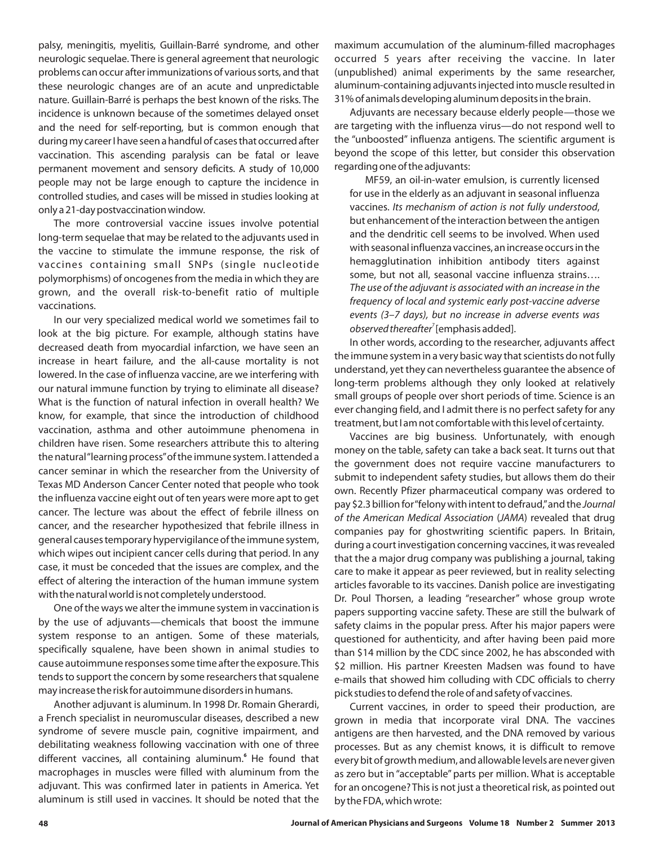palsy, meningitis, myelitis, Guillain‐Barré syndrome, and other neurologic sequelae. There is general agreement that neurologic problems can occur after immunizations of various sorts, and that these neurologic changes are of an acute and unpredictable nature. Guillain‐Barré is perhaps the best known of the risks. The incidence is unknown because of the sometimes delayed onset and the need for self‐reporting, but is common enough that during my career I have seen a handful of cases that occurred after vaccination. This ascending paralysis can be fatal or leave permanent movement and sensory deficits. A study of 10,000 people may not be large enough to capture the incidence in controlled studies, and cases will be missed in studies looking at only a 21‐day postvaccination window.

The more controversial vaccine issues involve potential long‐term sequelae that may be related to the adjuvants used in the vaccine to stimulate the immune response, the risk of vaccines containing small SNPs (single nucleotide polymorphisms) of oncogenes from the media in which they are grown, and the overall risk‐to‐benefit ratio of multiple vaccinations.

In our very specialized medical world we sometimes fail to look at the big picture. For example, although statins have decreased death from myocardial infarction, we have seen an increase in heart failure, and the all‐cause mortality is not lowered. In the case of influenza vaccine, are we interfering with our natural immune function by trying to eliminate all disease? What is the function of natural infection in overall health? We know, for example, that since the introduction of childhood vaccination, asthma and other autoimmune phenomena in children have risen. Some researchers attribute this to altering the natural"learning process"of the immune system. I attended a cancer seminar in which the researcher from the University of Texas MD Anderson Cancer Center noted that people who took the influenza vaccine eight out of ten years were more apt to get cancer. The lecture was about the effect of febrile illness on cancer, and the researcher hypothesized that febrile illness in general causes temporary hypervigilance of the immune system, which wipes out incipient cancer cells during that period. In any case, it must be conceded that the issues are complex, and the effect of altering the interaction of the human immune system with the natural world is not completely understood.

One of the ways we alter the immune system in vaccination is by the use of adjuvants—chemicals that boost the immune system response to an antigen. Some of these materials, specifically squalene, have been shown in animal studies to cause autoimmune responses some time after the exposure.This tends to support the concern by some researchers that squalene may increase the risk for autoimmune disorders in humans.

Another adjuvant is aluminum. In 1998 Dr. Romain Gherardi, a French specialist in neuromuscular diseases, described a new syndrome of severe muscle pain, cognitive impairment, and debilitating weakness following vaccination with one of three different vaccines, all containing aluminum.<sup>6</sup> He found that macrophages in muscles were filled with aluminum from the adjuvant. This was confirmed later in patients in America. Yet aluminum is still used in vaccines. It should be noted that the maximum accumulation of the aluminum‐filled macrophages occurred 5 years after receiving the vaccine. In later (unpublished) animal experiments by the same researcher, aluminum‐containing adjuvants injected into muscle resulted in 31% of animals developing aluminum deposits in the brain.

Adjuvants are necessary because elderly people—those we are targeting with the influenza virus—do not respond well to the "unboosted" influenza antigens. The scientific argument is beyond the scope of this letter, but consider this observation regarding one of the adjuvants:

MF59, an oil‐in‐water emulsion, is currently licensed for use in the elderly as an adjuvant in seasonal influenza vaccines. Its mechanism of action is not fully understood, but enhancement of the interaction between the antigen and the dendritic cell seems to be involved. When used with seasonal influenza vaccines, an increase occurs in the hemagglutination inhibition antibody titers against some, but not all, seasonal vaccine influenza strains…. *observed thereafter<sup>7</sup> [emphasis added]. The use of the adjuvant is associated with an increase in the frequency of local and systemic early post‐vaccine adverse events (3–7 days), but no increase in adverse events was*

In other words, according to the researcher, adjuvants affect the immune system in a very basic way that scientists do not fully understand, yet they can nevertheless guarantee the absence of long‐term problems although they only looked at relatively small groups of people over short periods of time. Science is an ever changing field, and I admit there is no perfect safety for any treatment, but I am not comfortable with this level of certainty.

Vaccines are big business. Unfortunately, with enough money on the table, safety can take a back seat. It turns out that the government does not require vaccine manufacturers to submit to independent safety studies, but allows them do their own. Recently Pfizer pharmaceutical company was ordered to pay \$2.3 billion for"felony with intent to defraud,"and the *Journal* of the American Medical Association (JAMA) revealed that drug companies pay for ghostwriting scientific papers. In Britain, during a court investigation concerning vaccines, it was revealed that the a major drug company was publishing a journal, taking care to make it appear as peer reviewed, but in reality selecting articles favorable to its vaccines. Danish police are investigating Dr. Poul Thorsen, a leading "researcher" whose group wrote papers supporting vaccine safety. These are still the bulwark of safety claims in the popular press. After his major papers were questioned for authenticity, and after having been paid more than \$14 million by the CDC since 2002, he has absconded with \$2 million. His partner Kreesten Madsen was found to have e‐mails that showed him colluding with CDC officials to cherry pick studies to defend the role of and safety of vaccines.

Current vaccines, in order to speed their production, are grown in media that incorporate viral DNA. The vaccines antigens are then harvested, and the DNA removed by various processes. But as any chemist knows, it is difficult to remove every bit of growth medium, and allowable levels are never given as zero but in "acceptable" parts per million. What is acceptable for an oncogene? This is not just a theoretical risk, as pointed out by the FDA, which wrote: